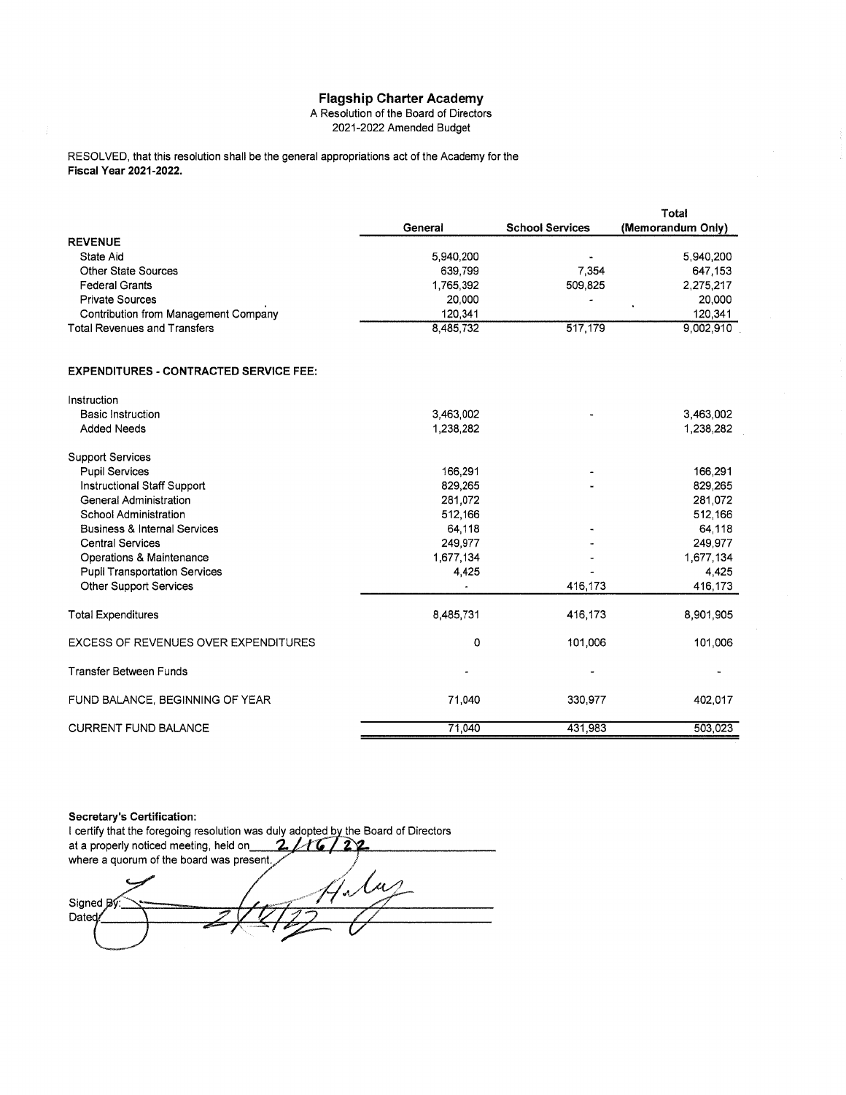# **Flagship Charter Academy**<br>A Resolution of the Board of Directors

2021-2022 Amended Budget

RESOLVED, that this resolution shall be the general appropriations act of the Academy for the Fiscal Year 2021-2022.

|                                      |                      |                        | Total             |
|--------------------------------------|----------------------|------------------------|-------------------|
|                                      | General              | <b>School Services</b> | (Memorandum Only) |
| <b>REVENUE</b>                       |                      |                        |                   |
| State Aid<br>Other State Sources     | 5,940,200<br>639,799 |                        | 5,940,200         |
|                                      |                      | 7,354                  | 647 153           |
| <b>Federal Grants</b>                | 1,765,392            | 509,825                | 2,275,217         |
| <b>Private Sources</b>               | 20,000               |                        | 20,000            |
| Contribution from Management Company | 120,341              |                        | 120,341           |
| <b>Total Revenues and Transfers</b>  | 8,485,732            | 517,179                | 9,002.910         |
| Instruction                          |                      |                        |                   |
| <b>Basic Instruction</b>             | 3,463,002            |                        | 3,463,002         |
| <b>Added Needs</b>                   | 1,238,282            |                        | 1,238,282         |
|                                      |                      |                        |                   |
| <b>Support Services</b>              |                      |                        |                   |
| <b>Pupil Services</b>                | 166,291              |                        | 166,291           |
| Instructional Staff Support          | 829,265              | ۰                      | 829,265           |
| General Administration               | 281,072              |                        | 281,072           |
| School Administration                | 512.166              |                        | 512.166           |

| Instruction                                 |                |         |           |
|---------------------------------------------|----------------|---------|-----------|
| Basic Instruction                           | 3,463,002      |         | 3,463,002 |
| <b>Added Needs</b>                          | 1,238,282      |         | 1,238,282 |
| <b>Support Services</b>                     |                |         |           |
| <b>Pupil Services</b>                       | 166,291        |         | 166,291   |
| Instructional Staff Support                 | 829,265        |         | 829,265   |
| General Administration                      | 281,072        |         | 281,072   |
| School Administration                       | 512,166        |         | 512,166   |
| <b>Business &amp; Internal Services</b>     | 64,118         |         | 64,118    |
| <b>Central Services</b>                     | 249,977        |         | 249,977   |
| Operations & Maintenance                    | 1,677,134      |         | 1,677,134 |
| <b>Pupil Transportation Services</b>        | 4,425          |         | 4,425     |
| Other Support Services                      |                | 416,173 | 416,173   |
| <b>Total Expenditures</b>                   | 8,485,731      | 416,173 | 8,901,905 |
| <b>EXCESS OF REVENUES OVER EXPENDITURES</b> | 0              | 101,006 | 101,006   |
| <b>Transfer Between Funds</b>               | $\blacksquare$ |         |           |
| FUND BALANCE, BEGINNING OF YEAR             | 71,040         | 330,977 | 402,017   |
| <b>CURRENT FUND BALANCE</b>                 | 71,040         | 431,983 | 503,023   |

#### **Secretary's Certification:**

I certify that the foregoing resolution was duly adopted by the Board of Directors  $2116722$ at a properly noticed meeting, held on where a quorum of the board was present. lμ بر Signed By Dated/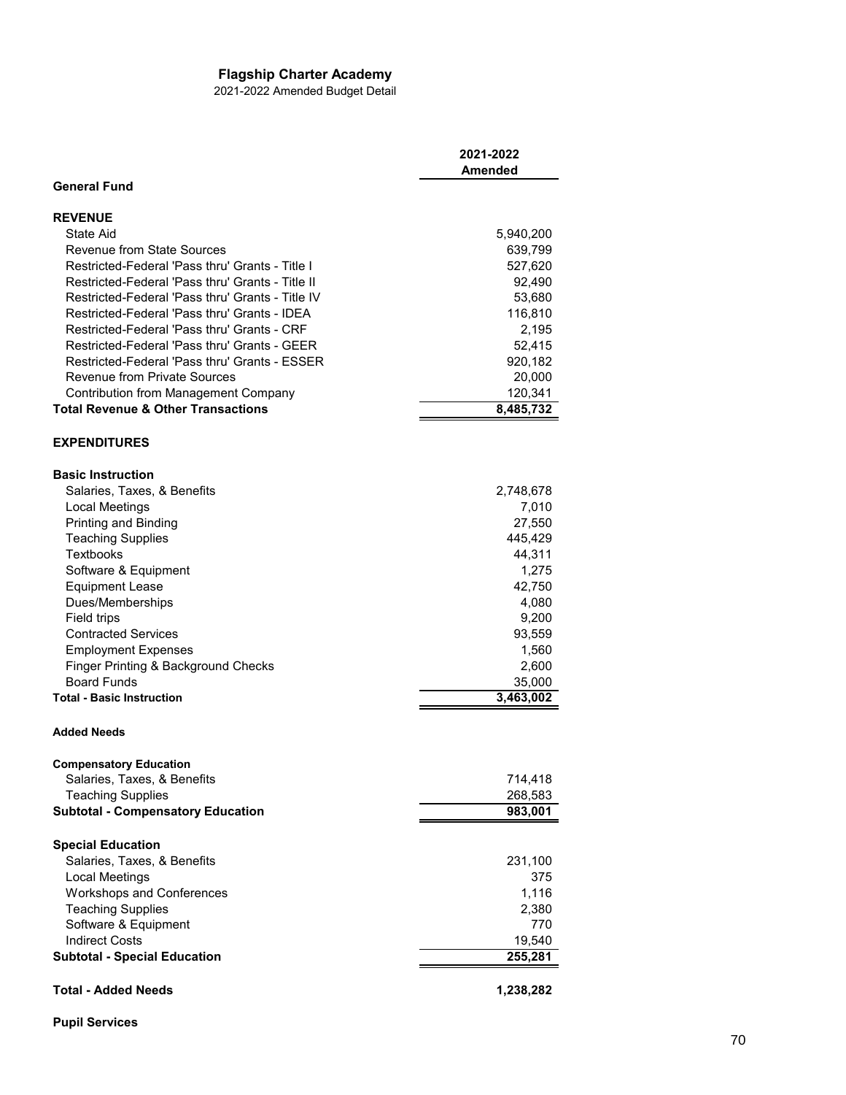## **Flagship Charter Academy**

2021-2022 Amended Budget Detail

|                                                  | 2021-2022         |
|--------------------------------------------------|-------------------|
|                                                  | <b>Amended</b>    |
| <b>General Fund</b>                              |                   |
| <b>REVENUE</b>                                   |                   |
| State Aid                                        | 5,940,200         |
| <b>Revenue from State Sources</b>                | 639,799           |
| Restricted-Federal 'Pass thru' Grants - Title I  | 527,620           |
| Restricted-Federal 'Pass thru' Grants - Title II | 92,490            |
| Restricted-Federal 'Pass thru' Grants - Title IV | 53,680            |
| Restricted-Federal 'Pass thru' Grants - IDEA     | 116,810           |
| Restricted-Federal 'Pass thru' Grants - CRF      | 2,195             |
| Restricted-Federal 'Pass thru' Grants - GEER     | 52,415            |
| Restricted-Federal 'Pass thru' Grants - ESSER    | 920,182           |
| <b>Revenue from Private Sources</b>              | 20,000            |
| <b>Contribution from Management Company</b>      | 120,341           |
| <b>Total Revenue &amp; Other Transactions</b>    | 8,485,732         |
|                                                  |                   |
| <b>EXPENDITURES</b>                              |                   |
| <b>Basic Instruction</b>                         |                   |
| Salaries, Taxes, & Benefits                      | 2,748,678         |
| Local Meetings                                   | 7,010             |
| Printing and Binding                             | 27,550            |
| <b>Teaching Supplies</b>                         | 445,429           |
| Textbooks                                        | 44,311            |
| Software & Equipment                             | 1,275             |
| <b>Equipment Lease</b>                           | 42,750            |
| Dues/Memberships                                 | 4,080             |
| Field trips                                      | 9,200             |
| <b>Contracted Services</b>                       | 93,559            |
| <b>Employment Expenses</b>                       | 1,560             |
| Finger Printing & Background Checks              | 2,600             |
| <b>Board Funds</b>                               | 35,000            |
| <b>Total - Basic Instruction</b>                 | 3,463,002         |
|                                                  |                   |
| <b>Added Needs</b>                               |                   |
| <b>Compensatory Education</b>                    |                   |
| Salaries, Taxes, & Benefits                      | 714,418           |
| <b>Teaching Supplies</b>                         | 268,583           |
| <b>Subtotal - Compensatory Education</b>         | 983,001           |
| <b>Special Education</b>                         |                   |
| Salaries, Taxes, & Benefits                      | 231,100           |
| Local Meetings                                   | 375               |
| <b>Workshops and Conferences</b>                 | 1,116             |
| <b>Teaching Supplies</b>                         | 2,380             |
| Software & Equipment                             | 770               |
| <b>Indirect Costs</b>                            |                   |
| <b>Subtotal - Special Education</b>              | 19,540<br>255,281 |
|                                                  |                   |
| <b>Total - Added Needs</b>                       | 1,238,282         |

**Pupil Services**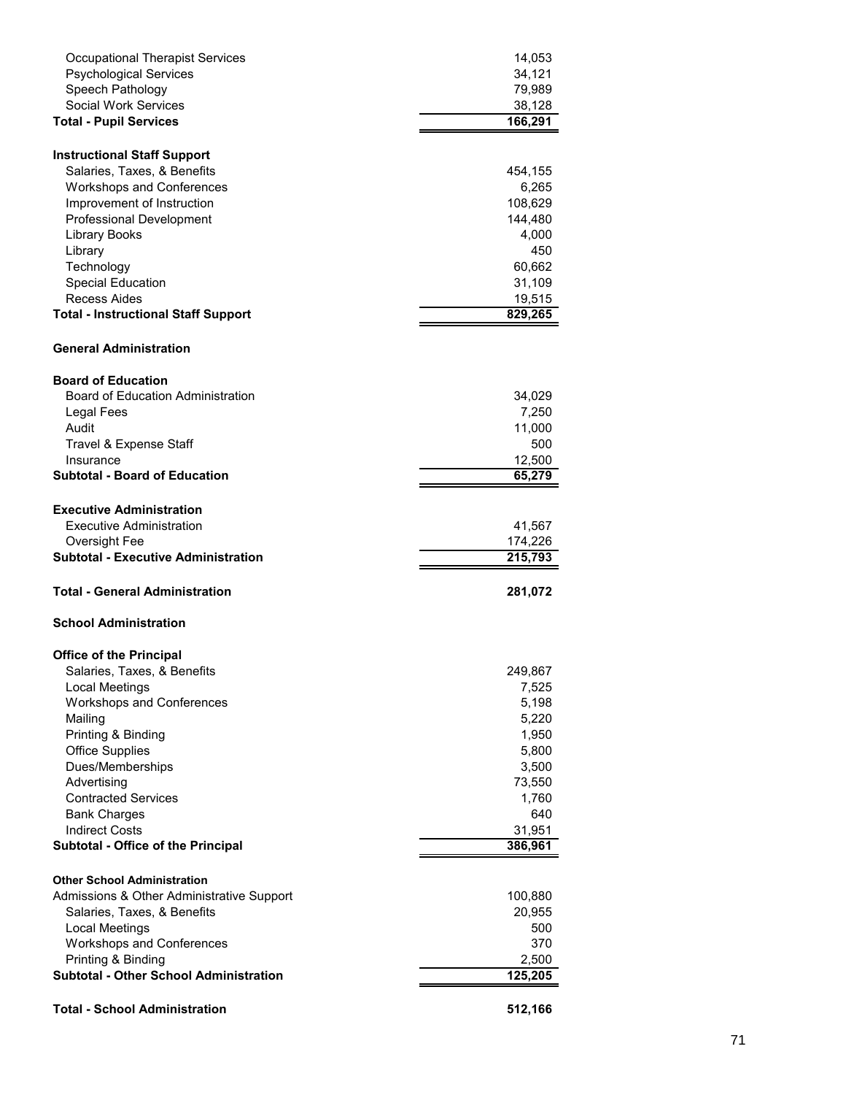| <b>Occupational Therapist Services</b>                        | 14,053       |
|---------------------------------------------------------------|--------------|
| <b>Psychological Services</b>                                 | 34,121       |
| Speech Pathology                                              | 79,989       |
| <b>Social Work Services</b>                                   | 38,128       |
| <b>Total - Pupil Services</b>                                 | 166,291      |
|                                                               |              |
| <b>Instructional Staff Support</b>                            |              |
| Salaries, Taxes, & Benefits                                   | 454,155      |
| <b>Workshops and Conferences</b>                              | 6,265        |
| Improvement of Instruction                                    | 108,629      |
| <b>Professional Development</b>                               | 144,480      |
| Library Books<br>Library                                      | 4,000<br>450 |
| Technology                                                    | 60,662       |
| <b>Special Education</b>                                      | 31,109       |
| Recess Aides                                                  | 19,515       |
| <b>Total - Instructional Staff Support</b>                    | 829,265      |
|                                                               |              |
| <b>General Administration</b>                                 |              |
| <b>Board of Education</b>                                     |              |
| Board of Education Administration                             | 34,029       |
| Legal Fees                                                    | 7,250        |
| Audit                                                         | 11,000       |
| Travel & Expense Staff                                        | 500          |
| Insurance                                                     | 12,500       |
| <b>Subtotal - Board of Education</b>                          | 65,279       |
|                                                               |              |
| <b>Executive Administration</b>                               |              |
| <b>Executive Administration</b>                               | 41,567       |
| Oversight Fee                                                 | 174,226      |
| <b>Subtotal - Executive Administration</b>                    | 215,793      |
| Total - General Administration                                | 281,072      |
| <b>School Administration</b>                                  |              |
|                                                               |              |
| <b>Office of the Principal</b><br>Salaries, Taxes, & Benefits | 249,867      |
| Local Meetings                                                | 7,525        |
| Workshops and Conferences                                     | 5,198        |
| Mailing                                                       | 5,220        |
| Printing & Binding                                            | 1,950        |
| <b>Office Supplies</b>                                        | 5,800        |
| Dues/Memberships                                              | 3,500        |
| Advertising                                                   | 73,550       |
| <b>Contracted Services</b>                                    | 1,760        |
| <b>Bank Charges</b>                                           | 640          |
| <b>Indirect Costs</b>                                         | 31,951       |
| Subtotal - Office of the Principal                            | 386,961      |
| <b>Other School Administration</b>                            |              |
| Admissions & Other Administrative Support                     | 100,880      |
| Salaries, Taxes, & Benefits                                   | 20,955       |
| <b>Local Meetings</b>                                         | 500          |
| <b>Workshops and Conferences</b>                              | 370          |
| Printing & Binding                                            | 2,500        |
|                                                               |              |
| <b>Subtotal - Other School Administration</b>                 |              |
|                                                               | 125,205      |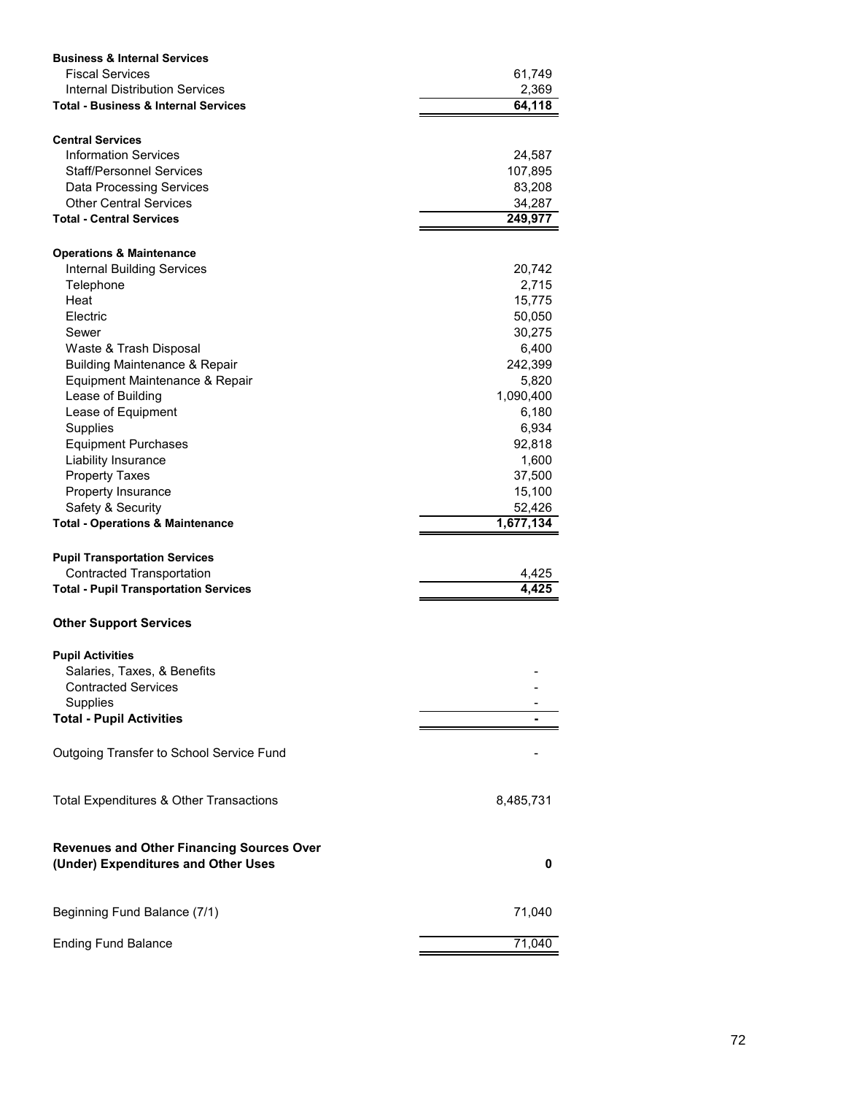| <b>Business &amp; Internal Services</b>                |                        |
|--------------------------------------------------------|------------------------|
| <b>Fiscal Services</b>                                 | 61,749                 |
| Internal Distribution Services                         | 2,369                  |
| <b>Total - Business &amp; Internal Services</b>        | 64,118                 |
|                                                        |                        |
| <b>Central Services</b>                                |                        |
| <b>Information Services</b>                            | 24,587                 |
| <b>Staff/Personnel Services</b>                        | 107,895                |
| <b>Data Processing Services</b>                        | 83,208                 |
| <b>Other Central Services</b>                          | 34,287                 |
| <b>Total - Central Services</b>                        | 249,977                |
|                                                        |                        |
| <b>Operations &amp; Maintenance</b>                    |                        |
| <b>Internal Building Services</b>                      | 20,742                 |
| Telephone                                              | 2,715                  |
| Heat                                                   | 15,775                 |
| Electric                                               | 50,050                 |
| Sewer                                                  | 30,275                 |
| Waste & Trash Disposal                                 | 6,400                  |
| <b>Building Maintenance &amp; Repair</b>               | 242,399                |
| Equipment Maintenance & Repair                         | 5,820                  |
| Lease of Building                                      | 1,090,400              |
| Lease of Equipment                                     | 6,180                  |
| <b>Supplies</b>                                        | 6,934                  |
| <b>Equipment Purchases</b>                             | 92,818                 |
| Liability Insurance                                    | 1,600                  |
| <b>Property Taxes</b>                                  | 37,500                 |
| Property Insurance                                     | 15,100                 |
| Safety & Security                                      | 52,426                 |
| <b>Total - Operations &amp; Maintenance</b>            | $\overline{1,}677,134$ |
|                                                        |                        |
| <b>Pupil Transportation Services</b>                   |                        |
| <b>Contracted Transportation</b>                       | 4,425                  |
| <b>Total - Pupil Transportation Services</b>           | 4,425                  |
| <b>Other Support Services</b>                          |                        |
|                                                        |                        |
| <b>Pupil Activities</b><br>Salaries, Taxes, & Benefits |                        |
| <b>Contracted Services</b>                             |                        |
|                                                        |                        |
| Supplies                                               |                        |
| <b>Total - Pupil Activities</b>                        |                        |
| Outgoing Transfer to School Service Fund               |                        |
|                                                        |                        |
| Total Expenditures & Other Transactions                | 8,485,731              |
|                                                        |                        |
| <b>Revenues and Other Financing Sources Over</b>       |                        |
| (Under) Expenditures and Other Uses                    | 0                      |
| Beginning Fund Balance (7/1)                           | 71,040                 |
| <b>Ending Fund Balance</b>                             | 71,040                 |
|                                                        |                        |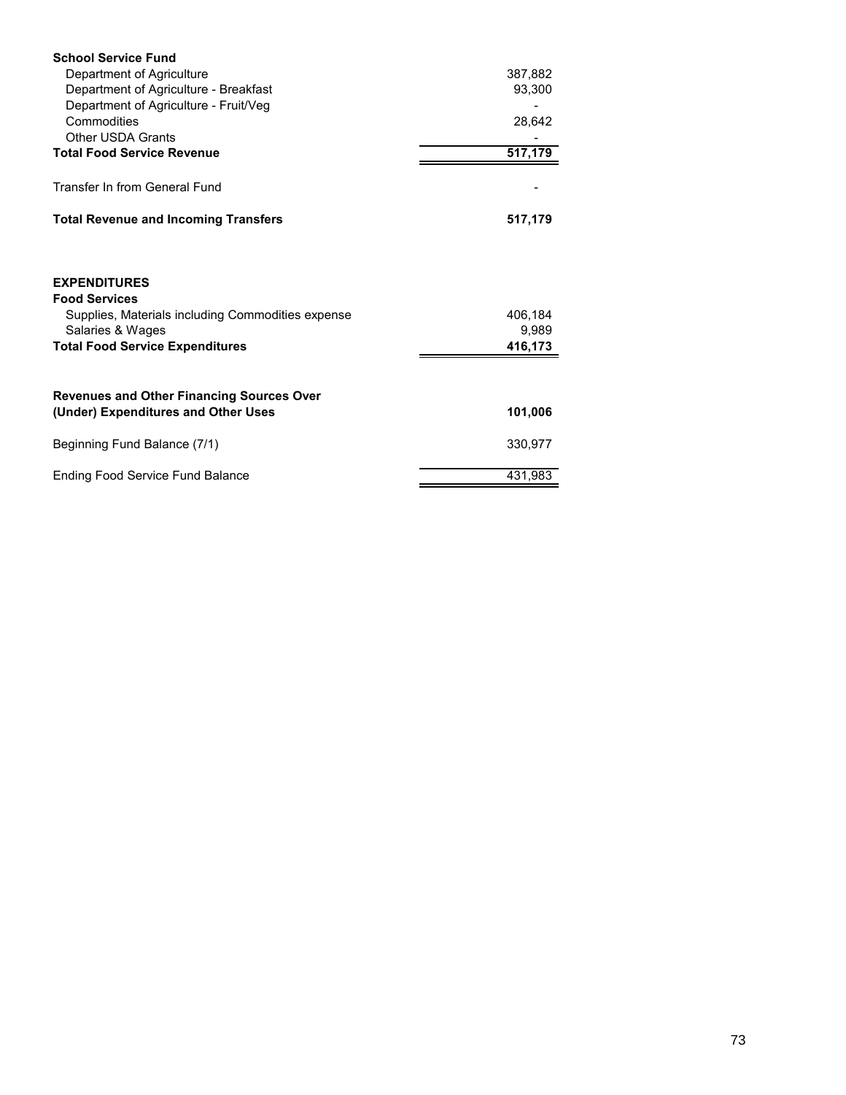| <b>School Service Fund</b>                                                                                           |                  |
|----------------------------------------------------------------------------------------------------------------------|------------------|
| Department of Agriculture                                                                                            | 387,882          |
| Department of Agriculture - Breakfast                                                                                | 93,300           |
| Department of Agriculture - Fruit/Veg                                                                                |                  |
| Commodities                                                                                                          | 28,642           |
| <b>Other USDA Grants</b>                                                                                             |                  |
| <b>Total Food Service Revenue</b>                                                                                    | 517,179          |
| Transfer In from General Fund                                                                                        |                  |
|                                                                                                                      |                  |
| <b>Total Revenue and Incoming Transfers</b>                                                                          | 517,179          |
| <b>EXPENDITURES</b><br><b>Food Services</b><br>Supplies, Materials including Commodities expense<br>Salaries & Wages | 406,184<br>9,989 |
| <b>Total Food Service Expenditures</b>                                                                               | 416,173          |
| <b>Revenues and Other Financing Sources Over</b>                                                                     |                  |
| (Under) Expenditures and Other Uses                                                                                  | 101,006          |
| Beginning Fund Balance (7/1)                                                                                         | 330,977          |
| <b>Ending Food Service Fund Balance</b>                                                                              | 431,983          |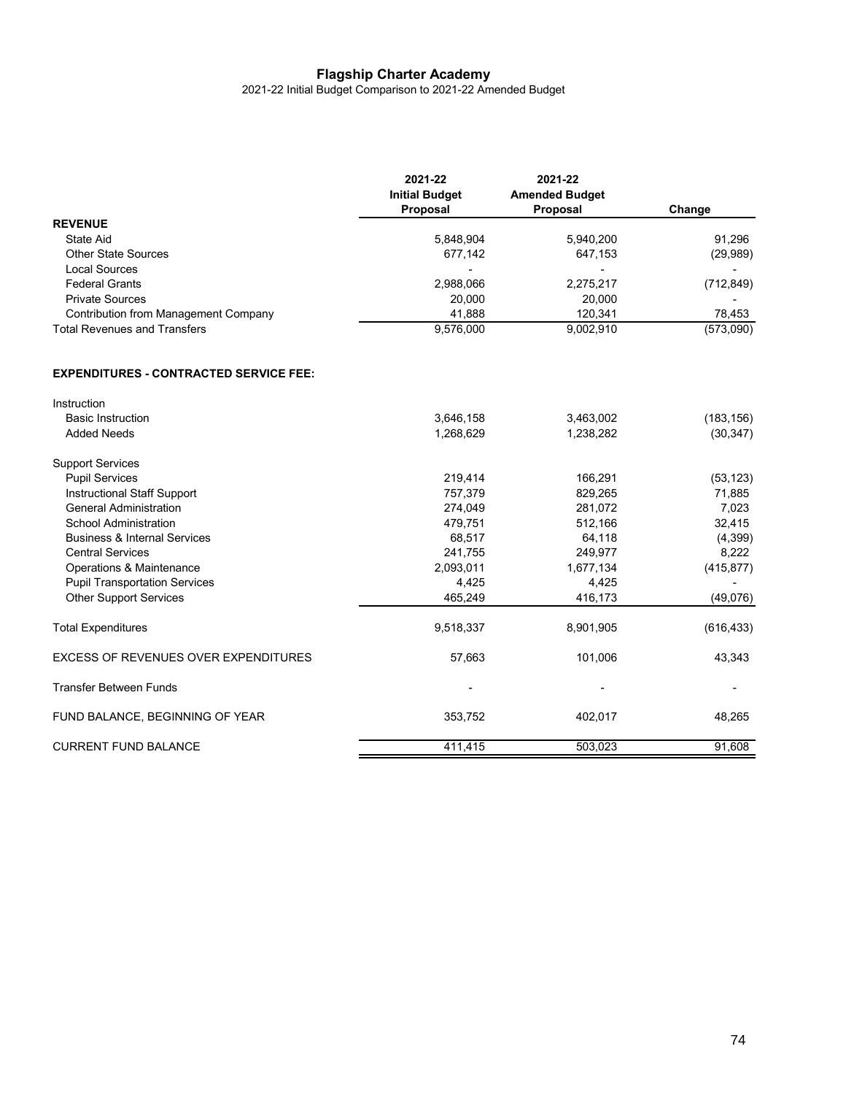### **Flagship Charter Academy**

2021-22 Initial Budget Comparison to 2021-22 Amended Budget

|                                               | 2021-22<br><b>Initial Budget</b><br>Proposal | 2021-22<br><b>Amended Budget</b><br>Proposal | Change     |
|-----------------------------------------------|----------------------------------------------|----------------------------------------------|------------|
| <b>REVENUE</b>                                |                                              |                                              |            |
| <b>State Aid</b>                              | 5,848,904                                    | 5,940,200                                    | 91,296     |
| <b>Other State Sources</b>                    | 677,142                                      | 647,153                                      | (29,989)   |
| <b>Local Sources</b>                          |                                              |                                              |            |
| <b>Federal Grants</b>                         | 2,988,066                                    | 2,275,217                                    | (712, 849) |
| <b>Private Sources</b>                        | 20,000                                       | 20,000                                       |            |
| <b>Contribution from Management Company</b>   | 41,888                                       | 120,341                                      | 78,453     |
| <b>Total Revenues and Transfers</b>           | 9,576,000                                    | 9,002,910                                    | (573,090)  |
| <b>EXPENDITURES - CONTRACTED SERVICE FEE:</b> |                                              |                                              |            |
| Instruction                                   |                                              |                                              |            |
| <b>Basic Instruction</b>                      | 3,646,158                                    | 3,463,002                                    | (183, 156) |
| <b>Added Needs</b>                            | 1,268,629                                    | 1,238,282                                    | (30, 347)  |
| <b>Support Services</b>                       |                                              |                                              |            |
| <b>Pupil Services</b>                         | 219,414                                      | 166,291                                      | (53, 123)  |
| Instructional Staff Support                   | 757,379                                      | 829,265                                      | 71,885     |
| <b>General Administration</b>                 | 274,049                                      | 281,072                                      | 7,023      |
| School Administration                         | 479,751                                      | 512,166                                      | 32,415     |
| <b>Business &amp; Internal Services</b>       | 68,517                                       | 64,118                                       | (4,399)    |
| <b>Central Services</b>                       | 241,755                                      | 249,977                                      | 8,222      |
| Operations & Maintenance                      | 2,093,011                                    | 1,677,134                                    | (415, 877) |
| <b>Pupil Transportation Services</b>          | 4,425                                        | 4,425                                        |            |
| <b>Other Support Services</b>                 | 465,249                                      | 416,173                                      | (49,076)   |
| <b>Total Expenditures</b>                     | 9,518,337                                    | 8,901,905                                    | (616, 433) |
| <b>EXCESS OF REVENUES OVER EXPENDITURES</b>   | 57,663                                       | 101,006                                      | 43,343     |
| <b>Transfer Between Funds</b>                 |                                              |                                              |            |
| FUND BALANCE, BEGINNING OF YEAR               | 353,752                                      | 402,017                                      | 48,265     |
| <b>CURRENT FUND BALANCE</b>                   | 411,415                                      | 503,023                                      | 91,608     |